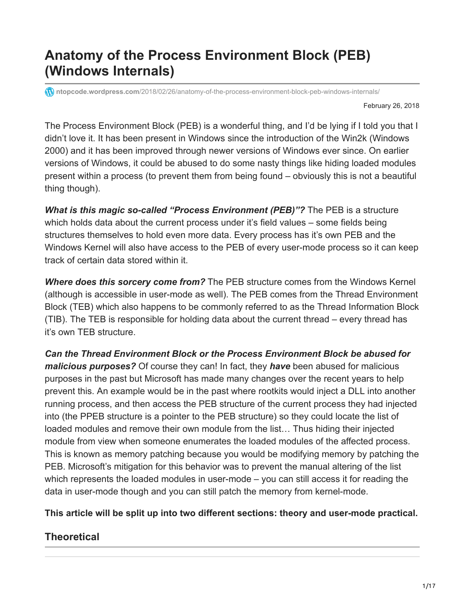# **Anatomy of the Process Environment Block (PEB) (Windows Internals)**

**1** ntopcode.wordpress.com[/2018/02/26/anatomy-of-the-process-environment-block-peb-windows-internals/](https://ntopcode.wordpress.com/2018/02/26/anatomy-of-the-process-environment-block-peb-windows-internals/)

February 26, 2018

The Process Environment Block (PEB) is a wonderful thing, and I'd be lying if I told you that I didn't love it. It has been present in Windows since the introduction of the Win2k (Windows 2000) and it has been improved through newer versions of Windows ever since. On earlier versions of Windows, it could be abused to do some nasty things like hiding loaded modules present within a process (to prevent them from being found – obviously this is not a beautiful thing though).

*What is this magic so-called "Process Environment (PEB)"?* The PEB is a structure which holds data about the current process under it's field values – some fields being structures themselves to hold even more data. Every process has it's own PEB and the Windows Kernel will also have access to the PEB of every user-mode process so it can keep track of certain data stored within it.

*Where does this sorcery come from?* The PEB structure comes from the Windows Kernel (although is accessible in user-mode as well). The PEB comes from the Thread Environment Block (TEB) which also happens to be commonly referred to as the Thread Information Block (TIB). The TEB is responsible for holding data about the current thread – every thread has it's own TEB structure.

*Can the Thread Environment Block or the Process Environment Block be abused for malicious purposes?* Of course they can! In fact, they *have* been abused for malicious purposes in the past but Microsoft has made many changes over the recent years to help prevent this. An example would be in the past where rootkits would inject a DLL into another running process, and then access the PEB structure of the current process they had injected into (the PPEB structure is a pointer to the PEB structure) so they could locate the list of loaded modules and remove their own module from the list… Thus hiding their injected module from view when someone enumerates the loaded modules of the affected process. This is known as memory patching because you would be modifying memory by patching the PEB. Microsoft's mitigation for this behavior was to prevent the manual altering of the list which represents the loaded modules in user-mode – you can still access it for reading the data in user-mode though and you can still patch the memory from kernel-mode.

#### **This article will be split up into two different sections: theory and user-mode practical.**

## **Theoretical**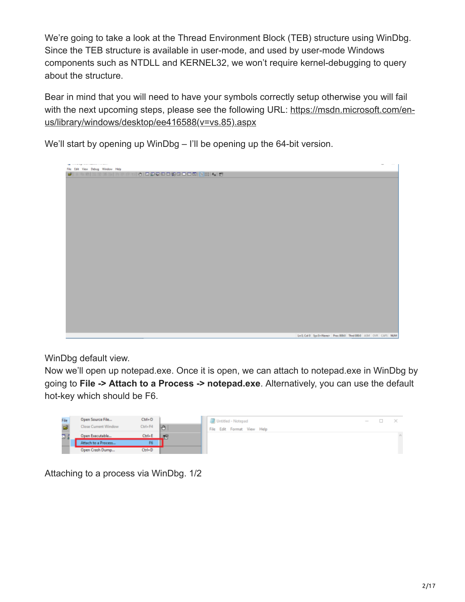We're going to take a look at the Thread Environment Block (TEB) structure using WinDbg. Since the TEB structure is available in user-mode, and used by user-mode Windows components such as NTDLL and KERNEL32, we won't require kernel-debugging to query about the structure.

Bear in mind that you will need to have your symbols correctly setup otherwise you will fail [with the next upcoming steps, please see the following URL: https://msdn.microsoft.com/en](https://msdn.microsoft.com/en-us/library/windows/desktop/ee416588(v=vs.85).aspx)us/library/windows/desktop/ee416588(v=vs.85).aspx

We'll start by opening up WinDbg – I'll be opening up the 64-bit version.

| The contract process contract contracts                      |  |
|--------------------------------------------------------------|--|
|                                                              |  |
|                                                              |  |
|                                                              |  |
|                                                              |  |
|                                                              |  |
|                                                              |  |
|                                                              |  |
|                                                              |  |
|                                                              |  |
|                                                              |  |
|                                                              |  |
|                                                              |  |
|                                                              |  |
|                                                              |  |
|                                                              |  |
|                                                              |  |
|                                                              |  |
|                                                              |  |
|                                                              |  |
|                                                              |  |
|                                                              |  |
|                                                              |  |
| Ln 0, Col 0 Sys 0-News- Prec 0000 Thed 0000 ASM OVR CAPS NUM |  |

WinDbg default view.

Now we'll open up notepad.exe. Once it is open, we can attach to notepad.exe in WinDbg by going to **File -> Attach to a Process -> notepad.exe**. Alternatively, you can use the default hot-key which should be F6.



Attaching to a process via WinDbg. 1/2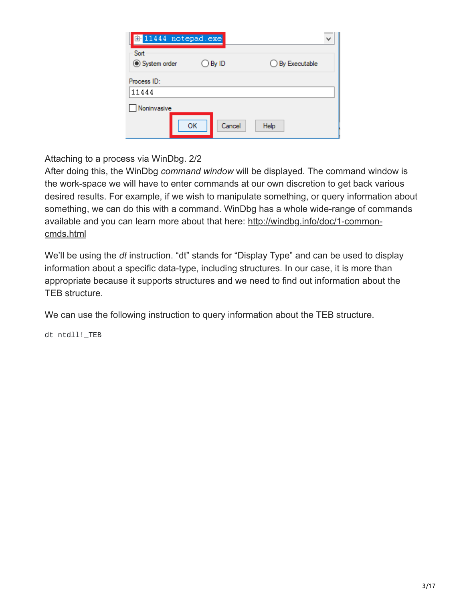| E-11444 notepad.exe  |                  |                          |
|----------------------|------------------|--------------------------|
| Sort<br>System order | $\bigcirc$ By ID | $\bigcirc$ By Executable |
| Process ID:<br>11444 |                  |                          |
| Noninvasive          | OK<br>Cancel     | Help                     |

Attaching to a process via WinDbg. 2/2

After doing this, the WinDbg *command window* will be displayed. The command window is the work-space we will have to enter commands at our own discretion to get back various desired results. For example, if we wish to manipulate something, or query information about something, we can do this with a command. WinDbg has a whole wide-range of commands [available and you can learn more about that here: http://windbg.info/doc/1-common](http://windbg.info/doc/1-common-cmds.html)cmds.html

We'll be using the *dt* instruction. "dt" stands for "Display Type" and can be used to display information about a specific data-type, including structures. In our case, it is more than appropriate because it supports structures and we need to find out information about the TEB structure.

We can use the following instruction to query information about the TEB structure.

dt ntdll!\_TEB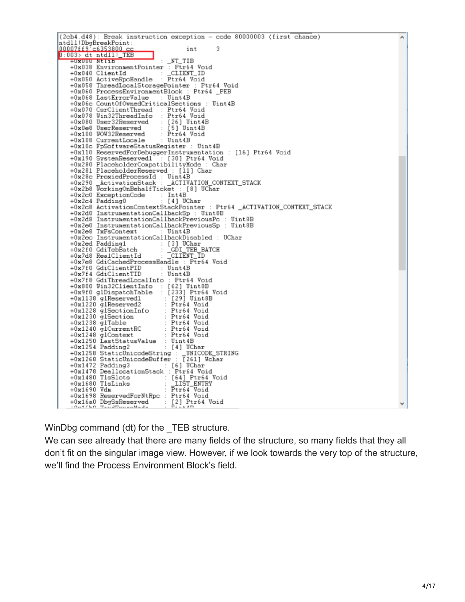| (2cb4.d48): Break instruction exception - code 80000003 (first chance)                                                                                                                                                                         | ۸ |
|------------------------------------------------------------------------------------------------------------------------------------------------------------------------------------------------------------------------------------------------|---|
| ntdll!DbgBreakPoint:                                                                                                                                                                                                                           |   |
| $00007f f9 \text{ c}6353800 \text{ c}c$<br>int 3<br>$0:003$ > dt ntdll! TEB                                                                                                                                                                    |   |
| $_NT_TIB$<br>+UXUUU Ntlib                                                                                                                                                                                                                      |   |
| +0x038 EnvironmentPointer : Ptr64 Void                                                                                                                                                                                                         |   |
| +0x040 ClientId : _CLIENT_ID                                                                                                                                                                                                                   |   |
| +0x050 ActiveRpcHandle : Ptr64 Void                                                                                                                                                                                                            |   |
| +0x058 ThreadLocalStoragePointer : Ptr64 Void                                                                                                                                                                                                  |   |
| +0x060 ProcessEnvironmentBlock : Ptr64 _PEB                                                                                                                                                                                                    |   |
| +0x068 LastErrorValue : Uint4B                                                                                                                                                                                                                 |   |
| +0x06c CountOfOvnedCriticalSections : Uint4B<br>+0x070 CsrClientThread : Ptr64 Void                                                                                                                                                            |   |
| +0x078 Win32ThreadInfo : Ptr64 Void                                                                                                                                                                                                            |   |
|                                                                                                                                                                                                                                                |   |
| +0x080 User32Reserved : [26] Uint4B<br>+0x0e8 UserReserved : [5] Uint4B                                                                                                                                                                        |   |
| +0x100 WOW32Reserved : Ptr64 Void<br>+0x108 CurrentLocale : Uint4B                                                                                                                                                                             |   |
|                                                                                                                                                                                                                                                |   |
| +0x10c FpSoftwareStatusRegister : Uint4B                                                                                                                                                                                                       |   |
| +0x110 ReservedForDebuggerInstrumentation : [16] Ptr64 Void                                                                                                                                                                                    |   |
| +0x190 SystemReserved1 : [30] Ptr64 Void<br>+0x280 PlaceholderCompatibilityMode : Char                                                                                                                                                         |   |
| +0x281 PlaceholderReserved : [11] Char                                                                                                                                                                                                         |   |
| +0x28c ProxiedProcessId : Uint4B                                                                                                                                                                                                               |   |
|                                                                                                                                                                                                                                                |   |
| +0x290                _ActivationStack : _ACTIVATION_CONTEXT_STACK<br>+0x2b8 WorkingOnBehalfTicket : [8] UChar                                                                                                                                 |   |
| +0x2c0 ExceptionCode : Int4B<br>+0x2c4 Padding0 = : [4]_UChar                                                                                                                                                                                  |   |
|                                                                                                                                                                                                                                                |   |
| +0x2c8 ActivationContextStackPointer : Ptr64 _ACTIVATION_CONTEXT_STACK                                                                                                                                                                         |   |
| +0x2d0 InstrumentationCallbackSp : Uint8B<br>+0x2d8 InstrumentationCallbackPreviousPc : Uint8B                                                                                                                                                 |   |
| +0x2e0 InstrumentationCallbackPreviousSp : Uint8B                                                                                                                                                                                              |   |
| +0x2e8 TxFsContext<br>: Uint4B                                                                                                                                                                                                                 |   |
| +0x2ec InstrumentationCallbackDisabled : UChar                                                                                                                                                                                                 |   |
|                                                                                                                                                                                                                                                |   |
| +0x2ed Padding1 : [3] UChar<br>+0x2f0 GdiTebBatch : _GDI_TEB_BATCH<br>+0x7d8 RealClientId : _CLIENT_ID                                                                                                                                         |   |
|                                                                                                                                                                                                                                                |   |
| +0x7e8 GdiCachedProcessHandle : Ptr64 Void                                                                                                                                                                                                     |   |
| +0x7f0 GdiClientPID : Uint4B<br>+0x7f4 GdiClientTID : Uint4B                                                                                                                                                                                   |   |
| +0x7f8 GdiThreadLocalInfo : Ptr64 Void                                                                                                                                                                                                         |   |
|                                                                                                                                                                                                                                                |   |
| +0x800 Win32ClientInfo : [62] Uint8B<br>+0x9f0_glDispatchTable : [233] Ptr64_Void                                                                                                                                                              |   |
| +0x1138 glReserved1 : [29] Uint8B<br>+0x1138 glReserved1 : [29] Uint8B<br>+0x1220 glReserved2 : Ptr64 Void<br>+0x1230 glSectionInfo : Ptr64 Void<br>+0x1248 glContext<br>+0x1248 glContext<br>+0x1248 glContext<br>+0x1248 glContext<br>+0x125 |   |
|                                                                                                                                                                                                                                                |   |
|                                                                                                                                                                                                                                                |   |
|                                                                                                                                                                                                                                                |   |
|                                                                                                                                                                                                                                                |   |
|                                                                                                                                                                                                                                                |   |
| +0x1250 LastStatusValue : Uint4B                                                                                                                                                                                                               |   |
| +0x1254 Padding2<br>: [4] UChar                                                                                                                                                                                                                |   |
| +0x1258 StaticUnicodeString : MNICODE_STRING<br>+0x1268 StaticUnicodeBuffer : [261] Wchar                                                                                                                                                      |   |
|                                                                                                                                                                                                                                                |   |
| +0x1472 Padding3 : [6] UChar<br>+0x1478 DeallocationStack : Ptr64 Void                                                                                                                                                                         |   |
|                                                                                                                                                                                                                                                |   |
|                                                                                                                                                                                                                                                |   |
| +0x1480 T1sSlots : [64] Ptr64 Void<br>+0x1680 T1sLinks : _LIST_ENTRY<br>+0x1690 Vdm : Ptr64 Void                                                                                                                                               |   |
| +0x1698 ReservedForNtRpc : Ptr64 Void                                                                                                                                                                                                          |   |
| +0x16a0 DbgSsReserved : [2] Ptr64 Void                                                                                                                                                                                                         | v |
| $10 - 1710$ $H_0 = 3H_0 = 10H_0 = 3H_0 = 1$<br>$$ $$ $*$ $n$ $n$                                                                                                                                                                               |   |

WinDbg command (dt) for the \_TEB structure.

We can see already that there are many fields of the structure, so many fields that they all don't fit on the singular image view. However, if we look towards the very top of the structure, we'll find the Process Environment Block's field.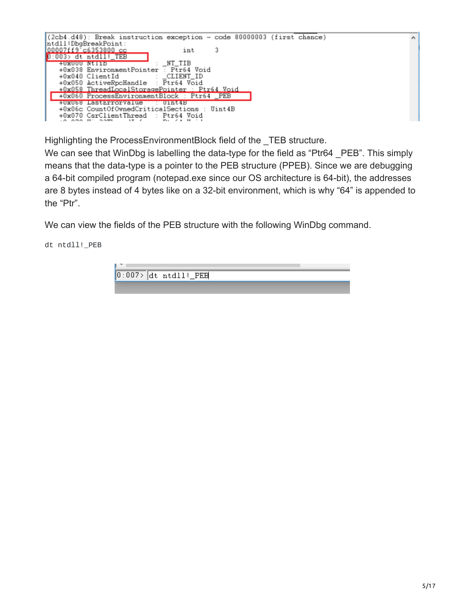

Highlighting the ProcessEnvironmentBlock field of the TEB structure.

We can see that WinDbg is labelling the data-type for the field as "Ptr64 PEB". This simply means that the data-type is a pointer to the PEB structure (PPEB). Since we are debugging a 64-bit compiled program (notepad.exe since our OS architecture is 64-bit), the addresses are 8 bytes instead of 4 bytes like on a 32-bit environment, which is why "64" is appended to the "Ptr".

We can view the fields of the PEB structure with the following WinDbg command.

dt ntdll!\_PEB

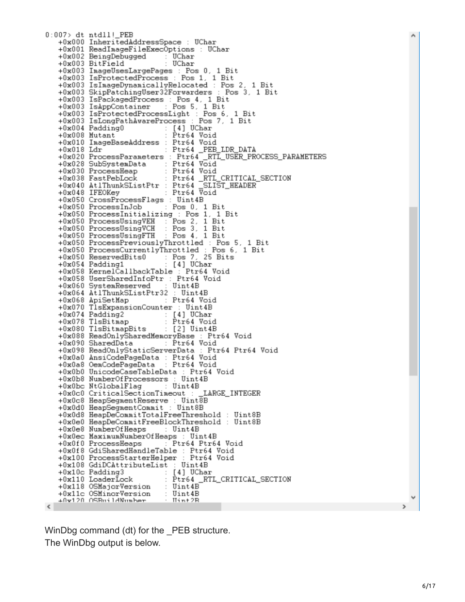0:007> dt ntdll!\_PEB +0x000 InheritedAddressSpace : UChar +0x001 ReadImageFileExecOptions : UChar +0x002 BeingDebugged UChar +0x003 BitField UChar +0x003 ImageUsesLargePages : Pos 0, 1 Bit +0x003 IsProtectedProcess : Pos 1, 1 Bit +0x003 IsImageDynamicallyRelocated : Pos 2, 1 Bit +0x003 Isinagebyhamicallykeidcated : Fos 2, 1 Bit<br>+0x003 SkipPatchingUser32Forwarders : Pos 3, 1 Bit<br>+0x003 IsPackagedProcess : Pos 4, 1 Bit<br>+0x003 IsAppContainer : Pos 5, 1 Bit +0x003 IsProtectedProcessLight : Pos 6, 1 Bit +0x003 IsLongPathAwareProcess : Pos 7, 1 Bit : [4] UChar +0x004 Padding0 +0x008 Mutant Ptr64 Void +0x010 ImageBaseAddress : Ptr64 Void +0x018 Ldr : Ptr64 \_PEB\_LDR\_DATA<br>+0x020 ProcessParameters : Ptr64 \_RTL\_USER\_PROCESS\_PARAMETERS +0x028 SubSystemData Ptr64 Void  $\sim$  10 +0x030 ProcessHeap Ptr64 Void +0x038 FastPebLock : Ptr64 \_RTL\_CRITICAL\_SECTION +0x040 AtlThunkSListPtr : Ptr64 SLIS<br>+0x048 IFEOKey : Ptr64 Void SLIST\_HEADER +0x050 CrossProcessFlags : Uint 4B  $+0x050$  ProcessInJob : Pos 0, 1 Bit +0x050 ProcessInitializing : Pos 1, 1 Bit  $Pos 2, 1$  Bit +0x050 ProcessUsingVEH Pos 3, 1 Bit<br>Pos 4, 1 Bit +0x050 ProcessUsingVCH +0x050 ProcessUsingFTH +0x050 ProcessPreviouslyThrottled : Pos 5, 1 Bit +0x050 ProcessCurrentlyThrottled : Pos 6, 1 Bit 25 Bits : Pos 7, 25<br>: [4] UChar +0x050 ReservedBits0 +0x054 Padding1 Ptr64 Void +0x058 KernelCallbackTable +0x058 UserSharedInfoPtr : Ptr64 Void +0x060 SystemReserved Uint 4B +0x064 At1ThunkSListPtr32 Uint4B +0x068 ApiSetMap : Pt:<br>+0x070 TlsExpansionCounter : Ptr64 Void Uint 4B [4] UChar +0x074 Padding2 +0x078 TlsBitmap : Ptr64 Void +0x080 TlsBitmapBits : [2] Uint4B +0x088 ReadOnlySharedMemoryBase : Ptr64 Void +0x090 SharedData : Ptr64 Void +0x098 ReadOnlyStaticServerData : Ptr64 Ptr64 Void +0x0a0 AnsiCodePageData : Ptr64 Void Ptr64 Void +0x0a8 OemCodePageData +0x0b0 UnicodeCaseTableData : Ptr64 Void +0x0b8 NumberOfProcessors : Uint 4B +0x0bc NtGlobalFlag : Uint4B +0x0c0 CriticalSectionTimeout : LARGE\_INTEGER\_ +0x0c8 HeapSegmentReserve : Uint8B +0x0d0 HeapSegmentCommit : Uint8B +0x0d8 HeapDeCommitTotalFreeThreshold : Uint8B +0x0e0 HeapDeCommitFreeBlockThreshold : Uint8B +0x0e8 NumberOfHeaps : Uint4B +0x0ec MaximumNumberOfHeaps : Uint4B +0x0f0 ProcessHeaps Ptr64 Ptr64 Void +0x0f8 GdiSharedHandleTable : Ptr64 Void +0x100 ProcessStarterHelper : Ptr64 Void +0x108 GdiDCAttributeList : Uint4B [4] UChar +0x10c Padding3 : Ptr64\_RTL\_CRITICAL\_SECTION +0x110 LoaderLock +0x118 OSMajorVersion : Uint4B : Uint4B +0x11c OSMinorVersion +Av12A ASBuildNumber  $Hint2R$  $\left\langle \right\rangle$ 

WinDbg command (dt) for the PEB structure. The WinDbg output is below.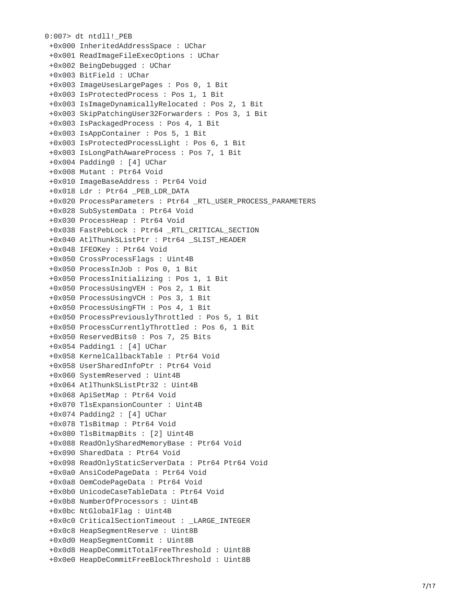```
0:007> dt ntdll!_PEB
 +0x000 InheritedAddressSpace : UChar
 +0x001 ReadImageFileExecOptions : UChar
 +0x002 BeingDebugged : UChar
 +0x003 BitField : UChar
 +0x003 ImageUsesLargePages : Pos 0, 1 Bit
 +0x003 IsProtectedProcess : Pos 1, 1 Bit
 +0x003 IsImageDynamicallyRelocated : Pos 2, 1 Bit
 +0x003 SkipPatchingUser32Forwarders : Pos 3, 1 Bit
 +0x003 IsPackagedProcess : Pos 4, 1 Bit
 +0x003 IsAppContainer : Pos 5, 1 Bit
 +0x003 IsProtectedProcessLight : Pos 6, 1 Bit
 +0x003 IsLongPathAwareProcess : Pos 7, 1 Bit
 +0x004 Padding0 : [4] UChar
 +0x008 Mutant : Ptr64 Void
 +0x010 ImageBaseAddress : Ptr64 Void
 +0x018 Ldr : Ptr64 _PEB_LDR_DATA
 +0x020 ProcessParameters : Ptr64 _RTL_USER_PROCESS_PARAMETERS
 +0x028 SubSystemData : Ptr64 Void
 +0x030 ProcessHeap : Ptr64 Void
 +0x038 FastPebLock : Ptr64 _RTL_CRITICAL_SECTION
 +0x040 AtlThunkSListPtr : Ptr64 _SLIST_HEADER
 +0x048 IFEOKey : Ptr64 Void
 +0x050 CrossProcessFlags : Uint4B
 +0x050 ProcessInJob : Pos 0, 1 Bit
 +0x050 ProcessInitializing : Pos 1, 1 Bit
 +0x050 ProcessUsingVEH : Pos 2, 1 Bit
 +0x050 ProcessUsingVCH : Pos 3, 1 Bit
 +0x050 ProcessUsingFTH : Pos 4, 1 Bit
 +0x050 ProcessPreviouslyThrottled : Pos 5, 1 Bit
 +0x050 ProcessCurrentlyThrottled : Pos 6, 1 Bit
 +0x050 ReservedBits0 : Pos 7, 25 Bits
 +0x054 Padding1 : [4] UChar
 +
0
x
0
5
8
K
e
r
n
e
l
C
a
l
l
b
a
c
k
T
a
b
l
e : P
t
r
6
4
V
o
i
d
 +0x058 UserSharedInfoPtr : Ptr64 Void
 +0x060 SystemReserved : Uint4B
 +0x064 AtlThunkSListPtr32 : Uint4B
 +0x068 ApiSetMap : Ptr64 Void
 +0x070 TlsExpansionCounter : Uint4B
 +0x074 Padding2 : [4] UChar
 +0x078 TlsBitmap : Ptr64 Void
 +0x080 TlsBitmapBits : [2] Uint4B
 +
0
x
0
8
8
R
e
a
d
O
n
l
y
S
h
a
r
e
d
M
e
m
o
r
y
B
a
s
e : P
t
r
6
4
V
o
i
d
 +0x090 SharedData : Ptr64 Void
 +0x098 ReadOnlyStaticServerData : Ptr64 Ptr64 Void
 +0x0a0 AnsiCodePageData : Ptr64 Void
 +0x0a8 OemCodePageData : Ptr64 Void
 +
0
x
0
b
0
U
n
i
c
o
d
e
C
a
s
e
T
a
b
l
e
D
a
t
a : P
t
r
6
4
V
o
i
d
 +
0
x
0
b
8
N
u
m
b
e
r
O
f
P
r
o
c
e
s
s
o
r
s : U
i
n
t
4
B
 +0x0bc NtGlobalFlag : Uint4B
 +0x0c0 CriticalSectionTimeout : _LARGE_INTEGER
 +0x0c8 HeapSegmentReserve : Uint8B
 +0x0d0 HeapSegmentCommit : Uint8B
 +0x0d8 HeapDeCommitTotalFreeThreshold : Uint8B
 +
0
x
0
e
0
H
e
a
p
D
e
C
o
m
m
i
t
F
r
e
e
B
l
o
c
k
T
h
r
e
s
h
o
l
d : U
i
n
t
8
B
```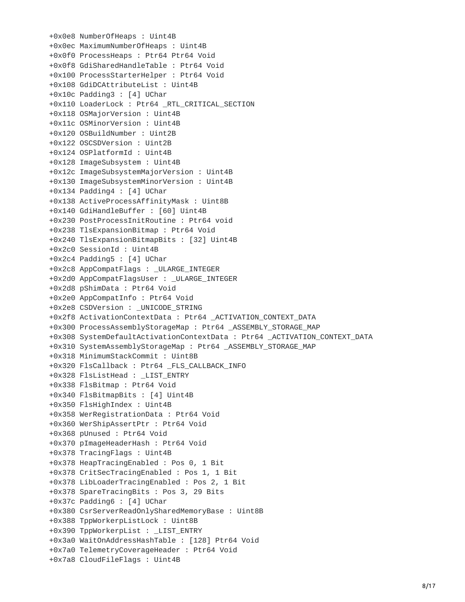```
+0x0e8 NumberOfHeaps : Uint4B
+0x0ec MaximumNumberOfHeaps : Uint4B
+0x0f0 ProcessHeaps : Ptr64 Ptr64 Void
+0x0f8 GdiSharedHandleTable : Ptr64 Void
+0x100 ProcessStarterHelper : Ptr64 Void
+0x108 GdiDCAttributeList : Uint4B
+0x10c Padding3 : [4] UChar
+0x110 LoaderLock : Ptr64 _RTL_CRITICAL_SECTION
+0x118 OSMajorVersion : Uint4B
+0x11c OSMinorVersion : Uint4B
+0x120 OSBuildNumber : Uint2B
+0x122 OSCSDVersion : Uint2B
+0x124 OSPlatformId : Uint4B
+0x128 ImageSubsystem : Uint4B
+0x12c ImageSubsystemMajorVersion : Uint4B
+0x130 ImageSubsystemMinorVersion : Uint4B
+0x134 Padding4 : [4] UChar
+0x138 ActiveProcessAffinityMask : Uint8B
+0x140 GdiHandleBuffer : [60] Uint4B
+0x230 PostProcessInitRoutine : Ptr64 void
+0x238 TlsExpansionBitmap : Ptr64 Void
+0x240 TlsExpansionBitmapBits : [32] Uint4B
+0x2c0 SessionId : Uint4B
+0x2c4 Padding5 : [4] UChar
+0x2c8 AppCompatFlags : _ULARGE_INTEGER
+0x2d0 AppCompatFlagsUser : _ULARGE_INTEGER
+0x2d8 pShimData : Ptr64 Void
+0x2e0 AppCompatInfo : Ptr64 Void
+0x2e8 CSDVersion : _UNICODE_STRING
+0x2f8 ActivationContextData : Ptr64 _ACTIVATION_CONTEXT_DATA
+0x300 ProcessAssemblyStorageMap : Ptr64 _ASSEMBLY_STORAGE_MAP
+0x308 SystemDefaultActivationContextData : Ptr64 _ACTIVATION_CONTEXT_DATA
+0x310 SystemAssemblyStorageMap : Ptr64 _ASSEMBLY_STORAGE_MAP
+0x318 MinimumStackCommit : Uint8B
+0x320 FlsCallback : Ptr64 _FLS_CALLBACK_INFO
+0x328 FlsListHead : _LIST_ENTRY
+0x338 FlsBitmap : Ptr64 Void
+0x340 FlsBitmapBits : [4] Uint4B
+0x350 FlsHighIndex : Uint4B
+0x358 WerRegistrationData : Ptr64 Void
+0x360 WerShipAssertPtr : Ptr64 Void
+0x368 pUnused : Ptr64 Void
+0x370 pImageHeaderHash : Ptr64 Void
+0x378 TracingFlags : Uint4B
+0x378 HeapTracingEnabled : Pos 0, 1 Bit
+0x378 CritSecTracingEnabled : Pos 1, 1 Bit
+0x378 LibLoaderTracingEnabled : Pos 2, 1 Bit
+0x378 SpareTracingBits : Pos 3, 29 Bits
+0x37c Padding6 : [4] UChar
+0x380 CsrServerReadOnlySharedMemoryBase : Uint8B
+0x388 TppWorkerpListLock : Uint8B
+0x390 TppWorkerpList : _LIST_ENTRY
+0x3a0 WaitOnAddressHashTable : [128] Ptr64 Void
+0x7a0 TelemetryCoverageHeader : Ptr64 Void
+0x7a8 CloudFileFlags : Uint4B
```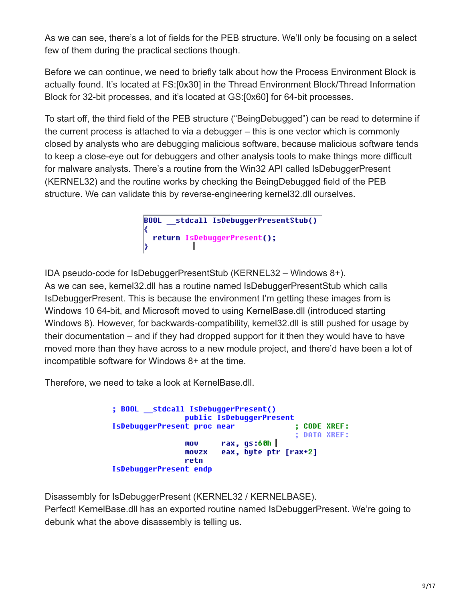As we can see, there's a lot of fields for the PEB structure. We'll only be focusing on a select few of them during the practical sections though.

Before we can continue, we need to briefly talk about how the Process Environment Block is actually found. It's located at FS:[0x30] in the Thread Environment Block/Thread Information Block for 32-bit processes, and it's located at GS:[0x60] for 64-bit processes.

To start off, the third field of the PEB structure ("BeingDebugged") can be read to determine if the current process is attached to via a debugger – this is one vector which is commonly closed by analysts who are debugging malicious software, because malicious software tends to keep a close-eye out for debuggers and other analysis tools to make things more difficult for malware analysts. There's a routine from the Win32 API called IsDebuggerPresent (KERNEL32) and the routine works by checking the BeingDebugged field of the PEB structure. We can validate this by reverse-engineering kernel32.dll ourselves.

```
stdcall IsDebuggerPresentStub()
BOOL
K
 return IsDebuggerPresent();
```
IDA pseudo-code for IsDebuggerPresentStub (KERNEL32 – Windows 8+). As we can see, kernel32.dll has a routine named IsDebuggerPresentStub which calls IsDebuggerPresent. This is because the environment I'm getting these images from is Windows 10 64-bit, and Microsoft moved to using KernelBase.dll (introduced starting Windows 8). However, for backwards-compatibility, kernel32.dll is still pushed for usage by their documentation – and if they had dropped support for it then they would have to have moved more than they have across to a new module project, and there'd have been a lot of incompatible software for Windows 8+ at the time.

Therefore, we need to take a look at KernelBase.dll.

; BOOL stdcall IsDebuggerPresent() public IsDebuggerPresent IsDebuggerPresent proc near ; CODE XREF: **: DATA XREF:** rax, gs:60h | mov eax, byte ptr [rax+2] **MOVZX** retn IsDebuggerPresent endp

Disassembly for IsDebuggerPresent (KERNEL32 / KERNELBASE). Perfect! KernelBase.dll has an exported routine named IsDebuggerPresent. We're going to debunk what the above disassembly is telling us.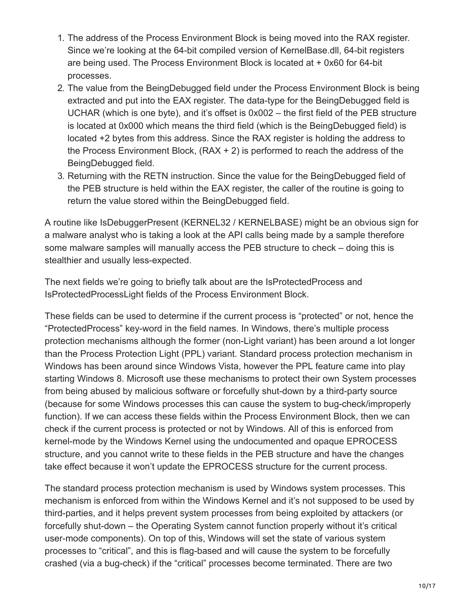- 1. The address of the Process Environment Block is being moved into the RAX register. Since we're looking at the 64-bit compiled version of KernelBase.dll, 64-bit registers are being used. The Process Environment Block is located at + 0x60 for 64-bit processes.
- 2. The value from the BeingDebugged field under the Process Environment Block is being extracted and put into the EAX register. The data-type for the BeingDebugged field is UCHAR (which is one byte), and it's offset is 0x002 – the first field of the PEB structure is located at 0x000 which means the third field (which is the BeingDebugged field) is located +2 bytes from this address. Since the RAX register is holding the address to the Process Environment Block,  $(RAX + 2)$  is performed to reach the address of the BeingDebugged field.
- 3. Returning with the RETN instruction. Since the value for the BeingDebugged field of the PEB structure is held within the EAX register, the caller of the routine is going to return the value stored within the BeingDebugged field.

A routine like IsDebuggerPresent (KERNEL32 / KERNELBASE) might be an obvious sign for a malware analyst who is taking a look at the API calls being made by a sample therefore some malware samples will manually access the PEB structure to check – doing this is stealthier and usually less-expected.

The next fields we're going to briefly talk about are the IsProtectedProcess and IsProtectedProcessLight fields of the Process Environment Block.

These fields can be used to determine if the current process is "protected" or not, hence the "ProtectedProcess" key-word in the field names. In Windows, there's multiple process protection mechanisms although the former (non-Light variant) has been around a lot longer than the Process Protection Light (PPL) variant. Standard process protection mechanism in Windows has been around since Windows Vista, however the PPL feature came into play starting Windows 8. Microsoft use these mechanisms to protect their own System processes from being abused by malicious software or forcefully shut-down by a third-party source (because for some Windows processes this can cause the system to bug-check/improperly function). If we can access these fields within the Process Environment Block, then we can check if the current process is protected or not by Windows. All of this is enforced from kernel-mode by the Windows Kernel using the undocumented and opaque EPROCESS structure, and you cannot write to these fields in the PEB structure and have the changes take effect because it won't update the EPROCESS structure for the current process.

The standard process protection mechanism is used by Windows system processes. This mechanism is enforced from within the Windows Kernel and it's not supposed to be used by third-parties, and it helps prevent system processes from being exploited by attackers (or forcefully shut-down – the Operating System cannot function properly without it's critical user-mode components). On top of this, Windows will set the state of various system processes to "critical", and this is flag-based and will cause the system to be forcefully crashed (via a bug-check) if the "critical" processes become terminated. There are two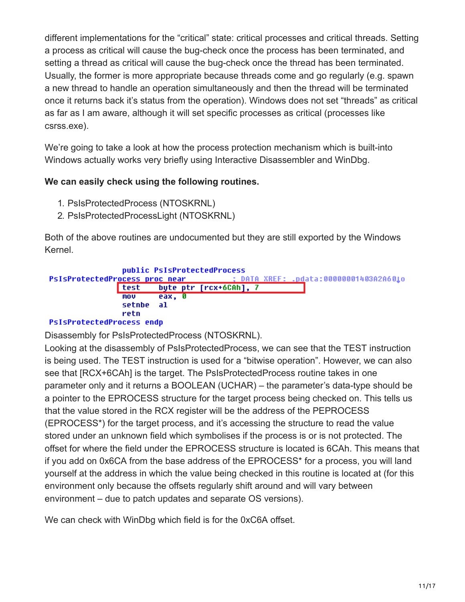different implementations for the "critical" state: critical processes and critical threads. Setting a process as critical will cause the bug-check once the process has been terminated, and setting a thread as critical will cause the bug-check once the thread has been terminated. Usually, the former is more appropriate because threads come and go regularly (e.g. spawn a new thread to handle an operation simultaneously and then the thread will be terminated once it returns back it's status from the operation). Windows does not set "threads" as critical as far as I am aware, although it will set specific processes as critical (processes like csrss.exe).

We're going to take a look at how the process protection mechanism which is built-into Windows actually works very briefly using Interactive Disassembler and WinDbg.

## **We can easily check using the following routines.**

- 1. PsIsProtectedProcess (NTOSKRNL)
- 2. PsIsProtectedProcessLight (NTOSKRNL)

Both of the above routines are undocumented but they are still exported by the Windows Kernel.

```
public PsIsProtectedProcess
PsIsProtectedProcess proc near
                                           DATA XREF:
                                                        .pdata:00000001403A2A601o
                         byte ptr [rcx+6CAh], 7
                test
                MOV
                         eax,
                              тя
                setnbe
                         al
                retn
```
## **PsIsProtectedProcess endp**

Disassembly for PsIsProtectedProcess (NTOSKRNL).

Looking at the disassembly of PsIsProtectedProcess, we can see that the TEST instruction is being used. The TEST instruction is used for a "bitwise operation". However, we can also see that [RCX+6CAh] is the target. The PsIsProtectedProcess routine takes in one parameter only and it returns a BOOLEAN (UCHAR) – the parameter's data-type should be a pointer to the EPROCESS structure for the target process being checked on. This tells us that the value stored in the RCX register will be the address of the PEPROCESS (EPROCESS\*) for the target process, and it's accessing the structure to read the value stored under an unknown field which symbolises if the process is or is not protected. The offset for where the field under the EPROCESS structure is located is 6CAh. This means that if you add on 0x6CA from the base address of the EPROCESS\* for a process, you will land yourself at the address in which the value being checked in this routine is located at (for this environment only because the offsets regularly shift around and will vary between environment – due to patch updates and separate OS versions).

We can check with WinDbg which field is for the 0xC6A offset.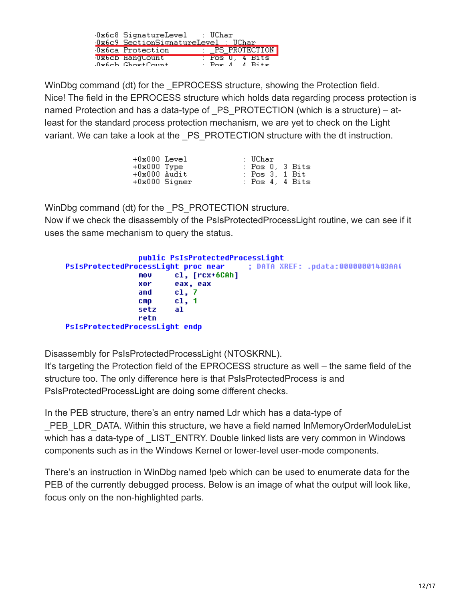| 0x6c8 SignatureLevel : UChar<br>Ox6c9 SectionSignatureLevel : UChar |  |  |                                             |  |
|---------------------------------------------------------------------|--|--|---------------------------------------------|--|
| Ox6ca Protection                                                    |  |  | : _PS_PROTECTION                            |  |
| Uxbcb HangCount<br>Juseb ChoetCount                                 |  |  | : Pos U, 4 Bits<br>$\cdot$ Pos $A$ $A$ Rits |  |

WinDbg command (dt) for the EPROCESS structure, showing the Protection field. Nice! The field in the EPROCESS structure which holds data regarding process protection is named Protection and has a data-type of PS PROTECTION (which is a structure) – atleast for the standard process protection mechanism, we are yet to check on the Light variant. We can take a look at the \_PS\_PROTECTION structure with the dt instruction.

| $+0x000$ Level  |  | : UChar         |  |
|-----------------|--|-----------------|--|
| $+0x000$ Type   |  | : Pos O. 3 Bits |  |
| +0x000 Audit    |  | : Pos 3, 1 Bit  |  |
| $+0x000$ Signer |  | : Pos 4, 4 Bits |  |

WinDbg command (dt) for the PS PROTECTION structure.

Now if we check the disassembly of the PsIsProtectedProcessLight routine, we can see if it uses the same mechanism to query the status.

|                                                                        | public PsIsProtectedProcessLight |  |
|------------------------------------------------------------------------|----------------------------------|--|
| PsIsProtectedProcessLight proc near : DATA XREF: .pdata:00000001403AA( |                                  |  |
| MOV                                                                    | cl, [rcx+6CAh]                   |  |
| xor                                                                    | eax, eax                         |  |
| and                                                                    | c1.7                             |  |
| <b>CMD</b>                                                             | c1, 1                            |  |
| setz                                                                   | al                               |  |
| retn                                                                   |                                  |  |
| PsIsProtectedProcessLight endp                                         |                                  |  |

Disassembly for PsIsProtectedProcessLight (NTOSKRNL).

It's targeting the Protection field of the EPROCESS structure as well – the same field of the structure too. The only difference here is that PsIsProtectedProcess is and PsIsProtectedProcessLight are doing some different checks.

In the PEB structure, there's an entry named Ldr which has a data-type of \_PEB\_LDR\_DATA. Within this structure, we have a field named InMemoryOrderModuleList which has a data-type of LIST ENTRY. Double linked lists are very common in Windows components such as in the Windows Kernel or lower-level user-mode components.

There's an instruction in WinDbg named !peb which can be used to enumerate data for the PEB of the currently debugged process. Below is an image of what the output will look like, focus only on the non-highlighted parts.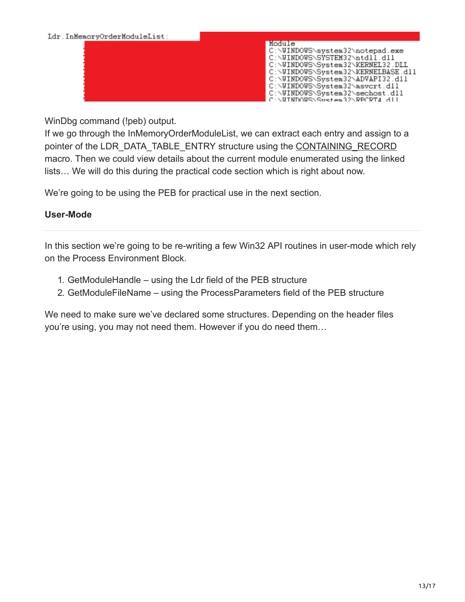

WinDbg command (!peb) output.

If we go through the InMemoryOrderModuleList, we can extract each entry and assign to a pointer of the LDR\_DATA\_TABLE\_ENTRY structure using the [CONTAINING\\_RECORD](https://docs.microsoft.com/en-us/windows-hardware/drivers/kernel/mm-bad-pointer) macro. Then we could view details about the current module enumerated using the linked lists… We will do this during the practical code section which is right about now.

We're going to be using the PEB for practical use in the next section.

## **User-Mode**

In this section we're going to be re-writing a few Win32 API routines in user-mode which rely on the Process Environment Block.

- 1. GetModuleHandle using the Ldr field of the PEB structure
- 2. GetModuleFileName using the ProcessParameters field of the PEB structure

We need to make sure we've declared some structures. Depending on the header files you're using, you may not need them. However if you do need them…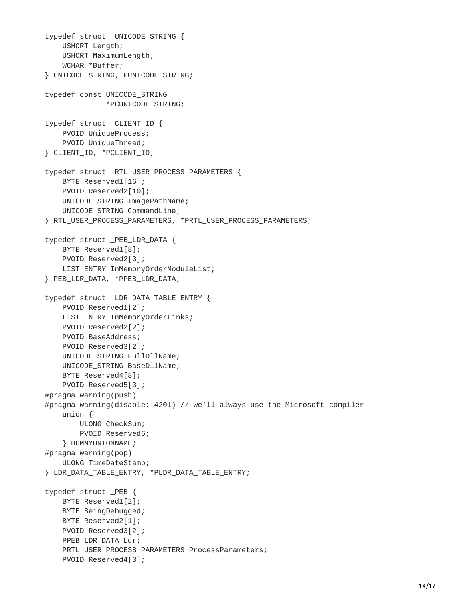```
typedef struct _UNICODE_STRING {
    USHORT Length;
    USHORT MaximumLength;
    WCHAR *Buffer;
} UNICODE_STRING, PUNICODE_STRING;
typedef const UNICODE_STRING
              *PCUNICODE_STRING;
typedef struct _CLIENT_ID {
    PVOID UniqueProcess;
    PVOID UniqueThread;
} CLIENT_ID, *PCLIENT_ID;
typedef struct _RTL_USER_PROCESS_PARAMETERS {
    BYTE Reserved1[16];
    PVOID Reserved2[10];
    UNICODE_STRING ImagePathName;
    UNICODE_STRING CommandLine;
} RTL_USER_PROCESS_PARAMETERS, *PRTL_USER_PROCESS_PARAMETERS;
typedef struct _PEB_LDR_DATA {
    BYTE Reserved1[8];
    PVOID Reserved2[3];
    LIST_ENTRY InMemoryOrderModuleList;
} PEB_LDR_DATA, *PPEB_LDR_DATA;
typedef struct _LDR_DATA_TABLE_ENTRY {
    PVOID Reserved1[2];
    LIST_ENTRY InMemoryOrderLinks;
    PVOID Reserved2[2];
    PVOID BaseAddress;
    PVOID Reserved3[2];
    UNICODE_STRING FullDllName;
    UNICODE_STRING BaseDllName;
    BYTE Reserved4[8];
    PVOID Reserved5[3];
#pragma warning(push)
#pragma warning(disable: 4201) // we'll always use the Microsoft compiler
    union {
        ULONG CheckSum;
        PVOID Reserved6;
    } DUMMYUNIONNAME;
#pragma warning(pop)
    ULONG TimeDateStamp;
} LDR_DATA_TABLE_ENTRY, *PLDR_DATA_TABLE_ENTRY;
typedef struct _PEB {
    BYTE Reserved1[2];
    BYTE BeingDebugged;
    BYTE Reserved2[1];
    PVOID Reserved3[2];
    PPEB_LDR_DATA Ldr;
    PRTL_USER_PROCESS_PARAMETERS ProcessParameters;
    PVOID Reserved4[3];
```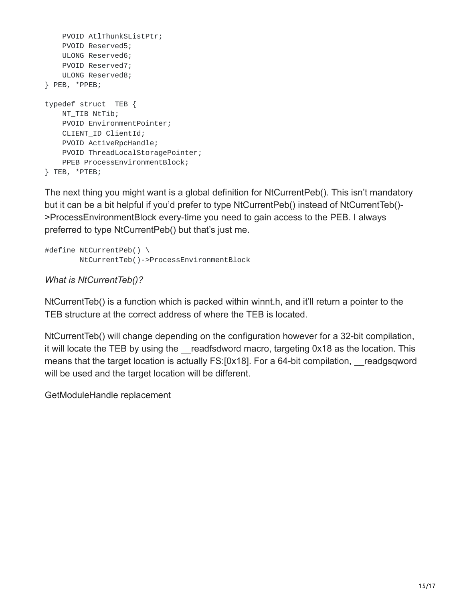```
PVOID AtlThunkSListPtr;
    PVOID Reserved5;
    ULONG Reserved6;
    PVOID Reserved7;
    ULONG Reserved8;
} PEB, *PPEB;
typedef struct _TEB {
    NT_TIB NtTib;
    PVOID EnvironmentPointer;
    CLIENT_ID ClientId;
    PVOID ActiveRpcHandle;
    PVOID ThreadLocalStoragePointer;
    PPEB ProcessEnvironmentBlock;
} TEB, *PTEB;
```
The next thing you might want is a global definition for NtCurrentPeb(). This isn't mandatory but it can be a bit helpful if you'd prefer to type NtCurrentPeb() instead of NtCurrentTeb()- >ProcessEnvironmentBlock every-time you need to gain access to the PEB. I always preferred to type NtCurrentPeb() but that's just me.

```
#define NtCurrentPeb() \
       NtCurrentTeb()->ProcessEnvironmentBlock
```
*What is NtCurrentTeb()?*

NtCurrentTeb() is a function which is packed within winnt.h, and it'll return a pointer to the TEB structure at the correct address of where the TEB is located.

NtCurrentTeb() will change depending on the configuration however for a 32-bit compilation, it will locate the TEB by using the readfsdword macro, targeting 0x18 as the location. This means that the target location is actually FS:[0x18]. For a 64-bit compilation, readgsqword will be used and the target location will be different.

GetModuleHandle replacement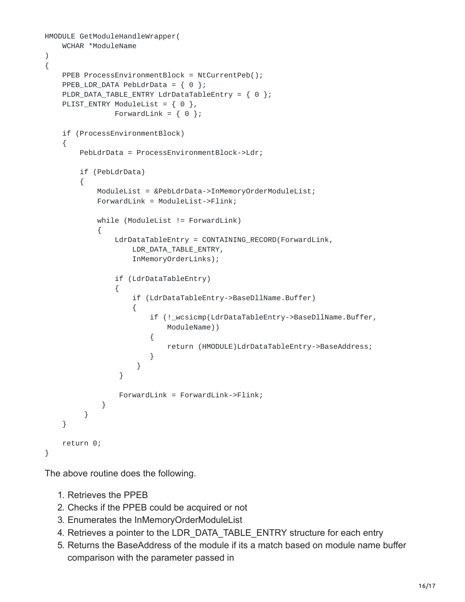```
HMODULE GetModuleHandleWrapper(
   WCHAR *ModuleName
)
{
    PPEB ProcessEnvironmentBlock = NtCurrentPeb();
    PPEB_LDR_DATA PebLdrData = \{ 0 \};
    PLDR_DATA_TABLE_ENTRY LdrDataTableEntry = \{ 0 \};
    PLIST_ENTRY ModuleList = \{ 0 \},
                ForwardLink = \{ 0 \};
    if (ProcessEnvironmentBlock)
    {
        PebLdrData = ProcessEnvironmentBlock->Ldr;
        if (PebLdrData)
        {
            ModuleList = &PebLdrData->InMemoryOrderModuleList;
            ForwardLink = ModuleList->Flink;
            while (ModuleList != ForwardLink)
            {
                LdrDataTableEntry = CONTAINING_RECORD(ForwardLink,
                    LDR_DATA_TABLE_ENTRY,
                    InMemoryOrderLinks);
                if (LdrDataTableEntry)
                {
                    if (LdrDataTableEntry->BaseDllName.Buffer)
                    {
                        if (!_wcsicmp(LdrDataTableEntry->BaseDllName.Buffer,
                            ModuleName))
                        {
                            return (HMODULE)LdrDataTableEntry->BaseAddress;
                        }
                     }
                 }
                 ForwardLink = ForwardLink->Flink;
             }
         }
    }
    return 0;
}
```
The above routine does the following.

- 1. Retrieves the PPEB
- 2. Checks if the PPEB could be acquired or not
- 3. Enumerates the InMemoryOrderModuleList
- 4. Retrieves a pointer to the LDR\_DATA\_TABLE\_ENTRY structure for each entry
- 5. Returns the BaseAddress of the module if its a match based on module name buffer comparison with the parameter passed in